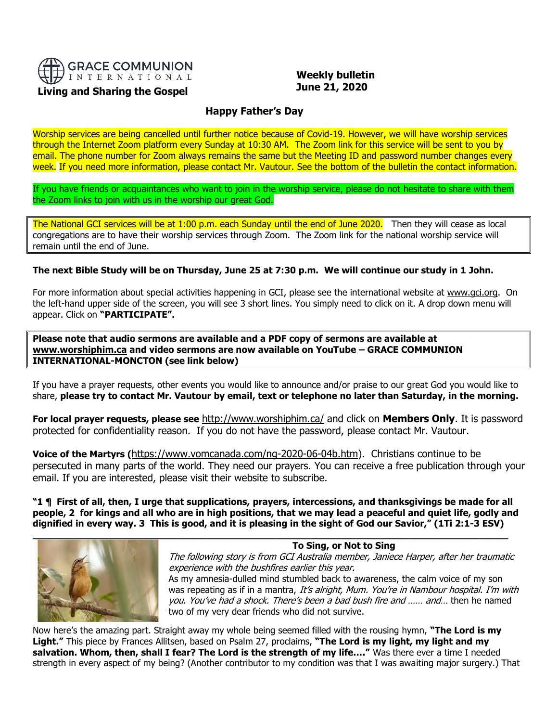

# **Living and Sharing the Gospel**

 **Weekly bulletin June 21, 2020**

# **Happy Father's Day**

Worship services are being cancelled until further notice because of Covid-19. However, we will have worship services through the Internet Zoom platform every Sunday at 10:30 AM. The Zoom link for this service will be sent to you by email. The phone number for Zoom always remains the same but the Meeting ID and password number changes every week. If you need more information, please contact Mr. Vautour. See the bottom of the bulletin the contact information.

If you have friends or acquaintances who want to join in the worship service, please do not hesitate to share with them the Zoom links to join with us in the worship our great God.

The National GCI services will be at 1:00 p.m. each Sunday until the end of June 2020. Then they will cease as local congregations are to have their worship services through Zoom. The Zoom link for the national worship service will remain until the end of June.

## **The next Bible Study will be on Thursday, June 25 at 7:30 p.m. We will continue our study in 1 John.**

For more information about special activities happening in GCI, please see the international website at [www.gci.org.](http://www.gci.org/) On the left-hand upper side of the screen, you will see 3 short lines. You simply need to click on it. A drop down menu will appear. Click on **"PARTICIPATE".** 

**Please note that audio sermons are available and a PDF copy of sermons are available at [www.worshiphim.ca](http://www.worshiphim.ca/) and video sermons are now available on YouTube – GRACE COMMUNION INTERNATIONAL-MONCTON (see link below)**

If you have a prayer requests, other events you would like to announce and/or praise to our great God you would like to share, **please try to contact Mr. Vautour by email, text or telephone no later than Saturday, in the morning.**

**For local prayer requests, please see** <http://www.worshiphim.ca/> and click on **Members Only**. It is password protected for confidentiality reason. If you do not have the password, please contact Mr. Vautour.

**Voice of the Martyrs (**[https://www.vomcanada.com/ng-2020-06-04b.htm\)](https://www.vomcanada.com/ng-2020-06-04b.htm). Christians continue to be persecuted in many parts of the world. They need our prayers. You can receive a free publication through your email. If you are interested, please visit their website to subscribe.

**"1 ¶ First of all, then, I urge that supplications, prayers, intercessions, and thanksgivings be made for all people, 2 for kings and all who are in high positions, that we may lead a peaceful and quiet life, godly and dignified in every way. 3 This is good, and it is pleasing in the sight of God our Savior," (1Ti 2:1-3 ESV)**



**To Sing, or Not to Sing** The following story is from GCI Australia member, Janiece Harper, after her traumatic experience with the bushfires earlier this year. As my amnesia-dulled mind stumbled back to awareness, the calm voice of my son was repeating as if in a mantra, It's alright, Mum. You're in Nambour hospital. I'm with you. You've had a shock. There's been a bad bush fire and …… and… then he named two of my very dear friends who did not survive.

Now here's the amazing part. Straight away my whole being seemed filled with the rousing hymn, **"The Lord is my Light."** This piece by Frances Allitsen, based on Psalm 27, proclaims, **"The Lord is my light, my light and my salvation. Whom, then, shall I fear? The Lord is the strength of my life…."** Was there ever a time I needed strength in every aspect of my being? (Another contributor to my condition was that I was awaiting major surgery.) That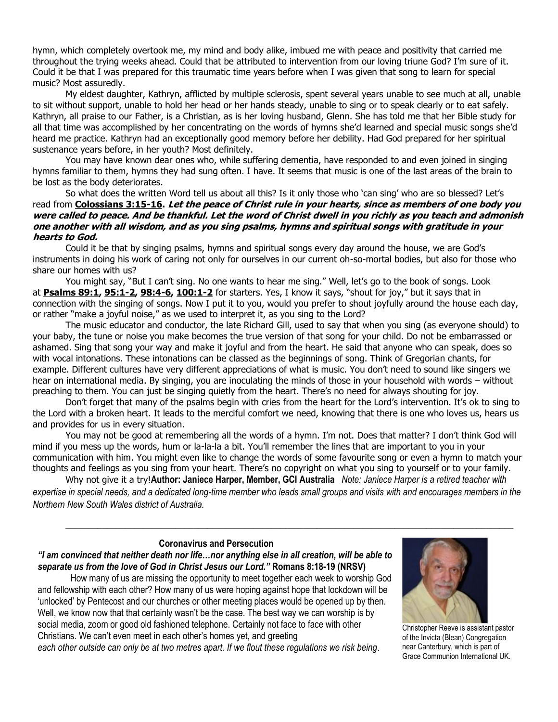hymn, which completely overtook me, my mind and body alike, imbued me with peace and positivity that carried me throughout the trying weeks ahead. Could that be attributed to intervention from our loving triune God? I'm sure of it. Could it be that I was prepared for this traumatic time years before when I was given that song to learn for special music? Most assuredly.

My eldest daughter, Kathryn, afflicted by multiple sclerosis, spent several years unable to see much at all, unable to sit without support, unable to hold her head or her hands steady, unable to sing or to speak clearly or to eat safely. Kathryn, all praise to our Father, is a Christian, as is her loving husband, Glenn. She has told me that her Bible study for all that time was accomplished by her concentrating on the words of hymns she'd learned and special music songs she'd heard me practice. Kathryn had an exceptionally good memory before her debility. Had God prepared for her spiritual sustenance years before, in her youth? Most definitely.

You may have known dear ones who, while suffering dementia, have responded to and even joined in singing hymns familiar to them, hymns they had sung often. I have. It seems that music is one of the last areas of the brain to be lost as the body deteriorates.

So what does the written Word tell us about all this? Is it only those who 'can sing' who are so blessed? Let's read from **[Colossians 3:15-16.](https://biblia.com/bible/niv/Col%203.15-16) Let the peace of Christ rule in your hearts, since as members of one body you were called to peace. And be thankful. Let the word of Christ dwell in you richly as you teach and admonish one another with all wisdom, and as you sing psalms, hymns and spiritual songs with gratitude in your hearts to God.**

Could it be that by singing psalms, hymns and spiritual songs every day around the house, we are God's instruments in doing his work of caring not only for ourselves in our current oh-so-mortal bodies, but also for those who share our homes with us?

You might say, "But I can't sing. No one wants to hear me sing." Well, let's go to the book of songs. Look at **[Psalms 89:1,](https://biblia.com/bible/niv/Ps%2089.1) [95:1-2,](https://biblia.com/bible/niv/Psalms%2095.1-2) [98:4-6,](https://biblia.com/bible/niv/Psalms%2098.4-6) [100:1-2](https://biblia.com/bible/niv/Psalms%20100.1-2)** for starters. Yes, I know it says, "shout for joy," but it says that in connection with the singing of songs. Now I put it to you, would you prefer to shout joyfully around the house each day, or rather "make a joyful noise," as we used to interpret it, as you sing to the Lord?

The music educator and conductor, the late Richard Gill, used to say that when you sing (as everyone should) to your baby, the tune or noise you make becomes the true version of that song for your child. Do not be embarrassed or ashamed. Sing that song your way and make it joyful and from the heart. He said that anyone who can speak, does so with vocal intonations. These intonations can be classed as the beginnings of song. Think of Gregorian chants, for example. Different cultures have very different appreciations of what is music. You don't need to sound like singers we hear on international media. By singing, you are inoculating the minds of those in your household with words – without preaching to them. You can just be singing quietly from the heart. There's no need for always shouting for joy.

Don't forget that many of the psalms begin with cries from the heart for the Lord's intervention. It's ok to sing to the Lord with a broken heart. It leads to the merciful comfort we need, knowing that there is one who loves us, hears us and provides for us in every situation.

You may not be good at remembering all the words of a hymn. I'm not. Does that matter? I don't think God will mind if you mess up the words, hum or la-la-la a bit. You'll remember the lines that are important to you in your communication with him. You might even like to change the words of some favourite song or even a hymn to match your thoughts and feelings as you sing from your heart. There's no copyright on what you sing to yourself or to your family.

Why not give it a try!**Author: Janiece Harper, Member, GCI Australia** *Note: Janiece Harper is a retired teacher with expertise in special needs, and a dedicated long-time member who leads small groups and visits with and encourages members in the Northern New South Wales district of Australia.*

*\_\_\_\_\_\_\_\_\_\_\_\_\_\_\_\_\_\_\_\_\_\_\_\_\_\_\_\_\_\_\_\_\_\_\_\_\_\_\_\_\_\_\_\_\_\_\_\_\_\_\_\_\_\_\_\_\_\_\_\_\_\_\_\_\_\_\_\_\_\_\_\_\_\_\_\_\_\_\_\_\_\_\_\_\_\_\_\_\_\_\_\_\_\_\_\_\_\_*

## **Coronavirus and Persecution**

*"I am convinced that neither death nor life…nor anything else in all creation, will be able to separate us from the love of God in Christ Jesus our Lord."* **Romans 8:18-19 (NRSV)**

How many of us are missing the opportunity to meet together each week to worship God and fellowship with each other? How many of us were hoping against hope that lockdown will be 'unlocked' by Pentecost and our churches or other meeting places would be opened up by then. Well, we know now that that certainly wasn't be the case. The best way we can worship is by social media, zoom or good old fashioned telephone. Certainly not face to face with other Christians. We can't even meet in each other's homes yet, and greeting

*each other outside can only be at two metres apart. If we flout these regulations we risk being*.



Christopher Reeve is assistant pastor of the Invicta (Blean) Congregation near Canterbury, which is part of Grace Communion International UK.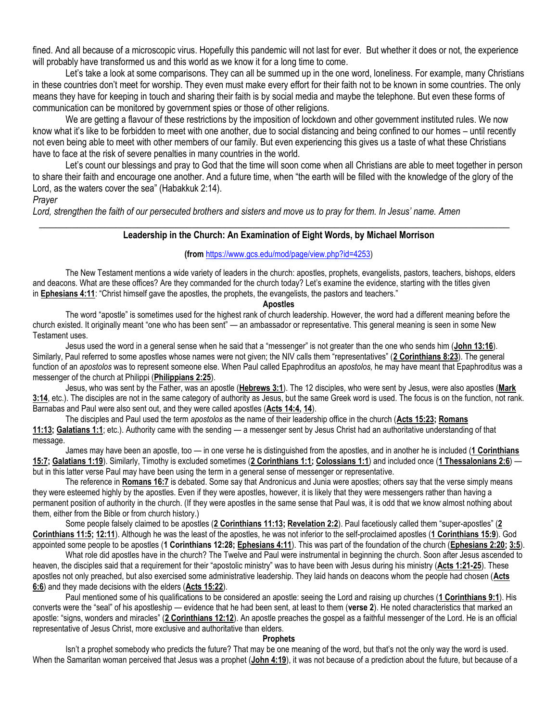fined. And all because of a microscopic virus. Hopefully this pandemic will not last for ever.But whether it does or not, the experience will probably have transformed us and this world as we know it for a long time to come.

Let's take a look at some comparisons. They can all be summed up in the one word, loneliness. For example, many Christians in these countries don't meet for worship. They even must make every effort for their faith not to be known in some countries. The only means they have for keeping in touch and sharing their faith is by social media and maybe the telephone. But even these forms of communication can be monitored by government spies or those of other religions.

We are getting a flavour of these restrictions by the imposition of lockdown and other government instituted rules. We now know what it's like to be forbidden to meet with one another, due to social distancing and being confined to our homes – until recently not even being able to meet with other members of our family. But even experiencing this gives us a taste of what these Christians have to face at the risk of severe penalties in many countries in the world.

Let's count our blessings and pray to God that the time will soon come when all Christians are able to meet together in person to share their faith and encourage one another. And a future time, when "the earth will be filled with the knowledge of the glory of the Lord, as the waters cover the sea" (Habakkuk 2:14).

## *Prayer*

*Lord, strengthen the faith of our persecuted brothers and sisters and move us to pray for them. In Jesus' name. Amen*

## **Leadership in the Church: An Examination of Eight Words, by Michael Morrison**

 $\frac{1}{2}$  ,  $\frac{1}{2}$  ,  $\frac{1}{2}$  ,  $\frac{1}{2}$  ,  $\frac{1}{2}$  ,  $\frac{1}{2}$  ,  $\frac{1}{2}$  ,  $\frac{1}{2}$  ,  $\frac{1}{2}$  ,  $\frac{1}{2}$  ,  $\frac{1}{2}$  ,  $\frac{1}{2}$  ,  $\frac{1}{2}$  ,  $\frac{1}{2}$  ,  $\frac{1}{2}$  ,  $\frac{1}{2}$  ,  $\frac{1}{2}$  ,  $\frac{1}{2}$  ,  $\frac{1$ 

## **(from** [https://www.gcs.edu/mod/page/view.php?id=4253\)](https://www.gcs.edu/mod/page/view.php?id=4253)

The New Testament mentions a wide variety of leaders in the church: apostles, prophets, evangelists, pastors, teachers, bishops, elders and deacons. What are these offices? Are they commanded for the church today? Let's examine the evidence, starting with the titles given in **[Ephesians 4:11](https://biblia.com/bible/niv/Eph%204.11)**: "Christ himself gave the apostles, the prophets, the evangelists, the pastors and teachers."

#### **Apostles**

The word "apostle" is sometimes used for the highest rank of church leadership. However, the word had a different meaning before the church existed. It originally meant "one who has been sent" — an ambassador or representative. This general meaning is seen in some New Testament uses.

Jesus used the word in a general sense when he said that a "messenger" is not greater than the one who sends him (**[John 13:16](https://biblia.com/bible/niv/John%2013.16)**). Similarly, Paul referred to some apostles whose names were not given; the NIV calls them "representatives" (**[2 Corinthians 8:23](https://biblia.com/bible/niv/2%20Cor%208.23)**). The general function of an *apostolos* was to represent someone else. When Paul called Epaphroditus an *apostolos,* he may have meant that Epaphroditus was a messenger of the church at Philippi (**[Philippians 2:25](https://biblia.com/bible/niv/Phil%202.25)**).

Jesus, who was sent by the Father, was an apostle (**[Hebrews 3:1](https://biblia.com/bible/niv/Heb%203.1)**). The 12 disciples, who were sent by Jesus, were also apostles (**[Mark](https://biblia.com/bible/niv/Mark%203.14)  [3:14](https://biblia.com/bible/niv/Mark%203.14)**, etc.). The disciples are not in the same category of authority as Jesus, but the same Greek word is used. The focus is on the function, not rank. Barnabas and Paul were also sent out, and they were called apostles (**[Acts 14:4,](https://biblia.com/bible/niv/Acts%2014.4) [14](https://biblia.com/bible/niv/Acts%2014.14)**).

The disciples and Paul used the term *apostolos* as the name of their leadership office in the church (**[Acts 15:23;](https://biblia.com/bible/niv/Acts%2015.23) [Romans](https://biblia.com/bible/niv/Rom%2011.13)  [11:13;](https://biblia.com/bible/niv/Rom%2011.13) [Galatians 1:1](https://biblia.com/bible/niv/Gal%201.1)**; etc.). Authority came with the sending — a messenger sent by Jesus Christ had an authoritative understanding of that message.

James may have been an apostle, too — in one verse he is distinguished from the apostles, and in another he is included (**[1 Corinthians](https://biblia.com/bible/niv/1%20Cor%2015.7)  [15:7;](https://biblia.com/bible/niv/1%20Cor%2015.7) [Galatians 1:19](https://biblia.com/bible/niv/Gal%201.19)**). Similarly, Timothy is excluded sometimes (**[2 Corinthians 1:1;](https://biblia.com/bible/niv/2%20Cor%201.1) [Colossians 1:1](https://biblia.com/bible/niv/Col%201.1)**) and included once (**[1 Thessalonians 2:6](https://biblia.com/bible/niv/1%20Thess%202.6)**) but in this latter verse Paul may have been using the term in a general sense of messenger or representative.

The reference in **[Romans 16:7](https://biblia.com/bible/niv/Rom%2016.7)** is debated. Some say that Andronicus and Junia were apostles; others say that the verse simply means they were esteemed highly by the apostles. Even if they were apostles, however, it is likely that they were messengers rather than having a permanent position of authority in the church. (If they were apostles in the same sense that Paul was, it is odd that we know almost nothing about them, either from the Bible or from church history.)

Some people falsely claimed to be apostles (**[2 Corinthians 11:13;](https://biblia.com/bible/niv/2%20Cor%2011.13) [Revelation 2:2](https://biblia.com/bible/niv/Rev%202.2)**). Paul facetiously called them "super-apostles" (**[2](https://biblia.com/bible/niv/2%20Cor%2011.5)  [Corinthians 11:5;](https://biblia.com/bible/niv/2%20Cor%2011.5) [12:11](https://biblia.com/bible/niv/2%20Corinthians%2012.11)**). Although he was the least of the apostles, he was not inferior to the self-proclaimed apostles (**1 [Corinthians 15:9](https://biblia.com/bible/niv/1%20Cor%2015.9)**). God appointed some people to be apostles (**1 Corinthians 12:28; [Ephesians 4:11](https://biblia.com/bible/niv/Eph%204.11)**). This was part of the foundation of the church (**[Ephesians 2:20;](https://biblia.com/bible/niv/Eph%202.20) [3:5](https://biblia.com/bible/niv/Ephesians%203.5)**).

What role did apostles have in the church? The Twelve and Paul were instrumental in beginning the church. Soon after Jesus ascended to heaven, the disciples said that a requirement for their "apostolic ministry" was to have been with Jesus during his ministry (**[Acts 1:21-25](https://biblia.com/bible/niv/Acts%201.21-25)**). These apostles not only preached, but also exercised some administrative leadership. They laid hands on deacons whom the people had chosen (**[Acts](https://biblia.com/bible/niv/Acts%206.6)  [6:6](https://biblia.com/bible/niv/Acts%206.6)**) and they made decisions with the elders (**[Acts 15:22](https://biblia.com/bible/niv/Acts%2015.22)**).

Paul mentioned some of his qualifications to be considered an apostle: seeing the Lord and raising up churches (**[1 Corinthians 9:1](https://biblia.com/bible/niv/1%20Cor%209.1)**). His converts were the "seal" of his apostleship — evidence that he had been sent, at least to them (**verse 2**). He noted characteristics that marked an apostle: "signs, wonders and miracles" (**2 [Corinthians 12:12](https://biblia.com/bible/niv/2%20Cor%2012.12)**). An apostle preaches the gospel as a faithful messenger of the Lord. He is an official representative of Jesus Christ, more exclusive and authoritative than elders.

#### **Prophets**

Isn't a prophet somebody who predicts the future? That may be one meaning of the word, but that's not the only way the word is used. When the Samaritan woman perceived that Jesus was a prophet (**[John 4:19](https://biblia.com/bible/niv/John%204.19)**), it was not because of a prediction about the future, but because of a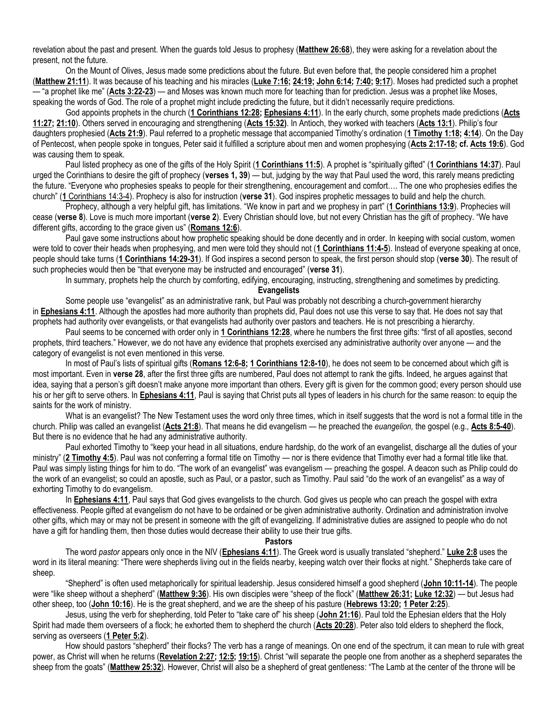revelation about the past and present. When the guards told Jesus to prophesy (**[Matthew 26:68](https://biblia.com/bible/niv/Matt%2026.68)**), they were asking for a revelation about the present, not the future.

On the Mount of Olives, Jesus made some predictions about the future. But even before that, the people considered him a prophet (**[Matthew 21:11](https://biblia.com/bible/niv/Matt%2021.11)**). It was because of his teaching and his miracles (**[Luke 7:16;](https://biblia.com/bible/niv/Luke%207.16) [24:19;](https://biblia.com/bible/niv/Luke%2024.19) [John 6:14;](https://biblia.com/bible/niv/John%206.14) [7:40;](https://biblia.com/bible/niv/John%207.40) [9:17](https://biblia.com/bible/niv/John%209.17)**). Moses had predicted such a prophet — "a prophet like me" (**[Acts 3:22-23](https://biblia.com/bible/niv/Acts%203.22-23)**) — and Moses was known much more for teaching than for prediction. Jesus was a prophet like Moses, speaking the words of God. The role of a prophet might include predicting the future, but it didn't necessarily require predictions.

God appoints prophets in the church (**[1 Corinthians 12:28;](https://biblia.com/bible/niv/1%20Cor%2012.28) [Ephesians 4:11](https://biblia.com/bible/niv/Eph%204.11)**). In the early church, some prophets made predictions (**[Acts](https://biblia.com/bible/niv/Acts%2011.27)  [11:27;](https://biblia.com/bible/niv/Acts%2011.27) [21:10](https://biblia.com/bible/niv/Acts%2021.10)**). Others served in encouraging and strengthening (**[Acts 15:32\)](https://biblia.com/bible/niv/Acts%2015.32)**. In Antioch, they worked with teachers (**[Acts 13:1](https://biblia.com/bible/niv/Acts%2013.1)**). Philip's four daughters prophesied (**[Acts 21:9](https://biblia.com/bible/niv/Acts%2021.9)**). Paul referred to a prophetic message that accompanied Timothy's ordination (**[1 Timothy 1:18;](https://biblia.com/bible/niv/1%20Tim%201.18) [4:14](https://biblia.com/bible/niv/1%20Timothy%204.14)**). On the Day of Pentecost, when people spoke in tongues, Peter said it fulfilled a scripture about men and women prophesying (**[Acts 2:17-18;](https://biblia.com/bible/niv/Acts%202.17-18) cf. [Acts 19:6](https://biblia.com/bible/niv/Acts%2019.6)**). God was causing them to speak.

Paul listed prophecy as one of the gifts of the Holy Spirit (**[1 Corinthians 11:5](https://biblia.com/bible/niv/1%20Cor%2011.5)**). A prophet is "spiritually gifted" (**[1 Corinthians 14:37](https://biblia.com/bible/niv/1%20Cor%2014.37)**). Paul urged the Corinthians to desire the gift of prophecy (**verses 1, 39**) — but, judging by the way that Paul used the word, this rarely means predicting the future. "Everyone who prophesies speaks to people for their strengthening, encouragement and comfort…. The one who prophesies edifies the church" (**1** [Corinthians 14:3-4\)](https://biblia.com/bible/niv/1%20Cor%2014.3-4). Prophecy is also for instruction (**verse 31**). God inspires prophetic messages to build and help the church.

Prophecy, although a very helpful gift, has limitations. "We know in part and we prophesy in part" (**[1 Corinthians 13:9](https://biblia.com/bible/niv/1%20Cor%2013.9)**). Prophecies will cease (**verse 8**). Love is much more important (**verse 2**). Every Christian should love, but not every Christian has the gift of prophecy. "We have different gifts, according to the grace given us" (**[Romans 12:6](https://biblia.com/bible/niv/Rom%2012.6)**).

Paul gave some instructions about how prophetic speaking should be done decently and in order. In keeping with social custom, women were told to cover their heads when prophesying, and men were told they should not (**[1 Corinthians 11:4-5](https://biblia.com/bible/niv/1%20Cor%2011.4-5)**). Instead of everyone speaking at once, people should take turns (**[1 Corinthians 14:29-31](https://biblia.com/bible/niv/1%20Cor%2014.29-31)**). If God inspires a second person to speak, the first person should stop (**verse 30**). The result of such prophecies would then be "that everyone may be instructed and encouraged" (**verse 31**).

In summary, prophets help the church by comforting, edifying, encouraging, instructing, strengthening and sometimes by predicting.

## **Evangelists**

Some people use "evangelist" as an administrative rank, but Paul was probably not describing a church-government hierarchy in **[Ephesians 4:11](https://biblia.com/bible/niv/Eph%204.11)**. Although the apostles had more authority than prophets did, Paul does not use this verse to say that. He does not say that prophets had authority over evangelists, or that evangelists had authority over pastors and teachers. He is not prescribing a hierarchy.

Paul seems to be concerned with order only in **[1 Corinthians 12:28](https://biblia.com/bible/niv/1%20Cor%2012.28)**, where he numbers the first three gifts: "first of all apostles, second prophets, third teachers." However, we do not have any evidence that prophets exercised any administrative authority over anyone — and the category of evangelist is not even mentioned in this verse.

In most of Paul's lists of spiritual gifts (**[Romans 12:6-8;](https://biblia.com/bible/niv/Rom%2012.6-8) [1 Corinthians 12:8-10](https://biblia.com/bible/niv/1%20Cor%2012.8-10)**), he does not seem to be concerned about which gift is most important. Even in **verse 28**, after the first three gifts are numbered, Paul does not attempt to rank the gifts. Indeed, he argues against that idea, saying that a person's gift doesn't make anyone more important than others. Every gift is given for the common good; every person should use his or her gift to serve others. In **[Ephesians 4:11](https://biblia.com/bible/niv/Eph%204.11)**, Paul is saying that Christ puts all types of leaders in his church for the same reason: to equip the saints for the work of ministry.

What is an evangelist? The New Testament uses the word only three times, which in itself suggests that the word is not a formal title in the church. Philip was called an evangelist (**[Acts 21:8](https://biblia.com/bible/niv/Acts%2021.8)**). That means he did evangelism — he preached the *euangelion,* the gospel (e.g., **[Acts 8:5-40](https://biblia.com/bible/niv/Acts%208.5-40)**). But there is no evidence that he had any administrative authority.

Paul exhorted Timothy to "keep your head in all situations, endure hardship, do the work of an evangelist, discharge all the duties of your ministry" ([2 Timothy 4:5](https://biblia.com/bible/niv/2%20Tim%204.5)). Paul was not conferring a formal title on Timothy — nor is there evidence that Timothy ever had a formal title like that. Paul was simply listing things for him to do. "The work of an evangelist" was evangelism — preaching the gospel. A deacon such as Philip could do the work of an evangelist; so could an apostle, such as Paul, or a pastor, such as Timothy. Paul said "do the work of an evangelist" as a way of exhorting Timothy to do evangelism.

In **[Ephesians 4:11](https://biblia.com/bible/niv/Eph%204.11)**, Paul says that God gives evangelists to the church. God gives us people who can preach the gospel with extra effectiveness. People gifted at evangelism do not have to be ordained or be given administrative authority. Ordination and administration involve other gifts, which may or may not be present in someone with the gift of evangelizing. If administrative duties are assigned to people who do not have a gift for handling them, then those duties would decrease their ability to use their true gifts.

## **Pastors**

The word *pastor* appears only once in the NIV (**[Ephesians 4:11](https://biblia.com/bible/niv/Eph%204.11)**). The Greek word is usually translated "shepherd." **[Luke 2:8](https://biblia.com/bible/niv/Luke%202.8)** uses the word in its literal meaning: "There were shepherds living out in the fields nearby, keeping watch over their flocks at night." Shepherds take care of sheep.

"Shepherd" is often used metaphorically for spiritual leadership. Jesus considered himself a good shepherd (**[John 10:11-14](https://biblia.com/bible/niv/John%2010.11-14)**). The people were "like sheep without a shepherd" (**[Matthew 9:36](https://biblia.com/bible/niv/Matt%209.36)**). His own disciples were "sheep of the flock" (**[Matthew 26:31;](https://biblia.com/bible/niv/Matt%2026.31) [Luke 12:32](https://biblia.com/bible/niv/Luke%2012.32)**) — but Jesus had other sheep, too (**[John 10:16](https://biblia.com/bible/niv/John%2010.16)**). He is the great shepherd, and we are the sheep of his pasture (**[Hebrews 13:20;](https://biblia.com/bible/niv/Heb%2013.20) [1 Peter 2:25](https://biblia.com/bible/niv/1%20Pet%202.25)**).

Jesus, using the verb for shepherding, told Peter to "take care of" his sheep (**[John 21:16](https://biblia.com/bible/niv/John%2021.16)**). Paul told the Ephesian elders that the Holy Spirit had made them overseers of a flock; he exhorted them to shepherd the church (**[Acts 20:28](https://biblia.com/bible/niv/Acts%2020.28)**). Peter also told elders to shepherd the flock, serving as overseers (**[1 Peter 5:2](https://biblia.com/bible/niv/1%20Pet%205.2)**).

How should pastors "shepherd" their flocks? The verb has a range of meanings. On one end of the spectrum, it can mean to rule with great power, as Christ will when he returns (**[Revelation 2:27;](https://biblia.com/bible/niv/Rev%202.27) [12:5;](https://biblia.com/bible/niv/Revelation%2012.5) [19:15](https://biblia.com/bible/niv/Revelation%2019.15)**). Christ "will separate the people one from another as a shepherd separates the sheep from the goats" (**[Matthew 25:32](https://biblia.com/bible/niv/Matt%2025.32)**). However, Christ will also be a shepherd of great gentleness: "The Lamb at the center of the throne will be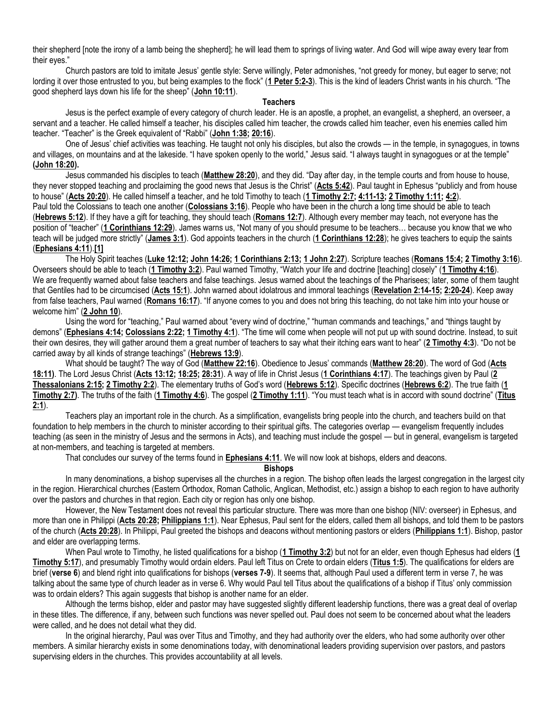their shepherd [note the irony of a lamb being the shepherd]; he will lead them to springs of living water. And God will wipe away every tear from their eyes."

Church pastors are told to imitate Jesus' gentle style: Serve willingly, Peter admonishes, "not greedy for money, but eager to serve; not lording it over those entrusted to you, but being examples to the flock" (**[1 Peter 5:2-3](https://biblia.com/bible/niv/1%20Pet%205.2-3)**). This is the kind of leaders Christ wants in his church. "The good shepherd lays down his life for the sheep" (**[John 10:11](https://biblia.com/bible/niv/John%2010.11)**).

#### **Teachers**

Jesus is the perfect example of every category of church leader. He is an apostle, a prophet, an evangelist, a shepherd, an overseer, a servant and a teacher. He called himself a teacher, his disciples called him teacher, the crowds called him teacher, even his enemies called him teacher. "Teacher" is the Greek equivalent of "Rabbi" (**[John 1:38;](https://biblia.com/bible/niv/John%201.38) [20:16](https://biblia.com/bible/niv/John%2020.16)**).

One of Jesus' chief activities was teaching. He taught not only his disciples, but also the crowds — in the temple, in synagogues, in towns and villages, on mountains and at the lakeside. "I have spoken openly to the world," Jesus said. "I always taught in synagogues or at the temple" **[\(John 18:20\)](https://biblia.com/bible/niv/John%2018.20).**

Jesus commanded his disciples to teach (**[Matthew](https://biblia.com/bible/niv/Matt%2028.20) 28:20**), and they did. "Day after day, in the temple courts and from house to house, they never stopped teaching and proclaiming the good news that Jesus is the Christ" (**[Acts 5:42](https://biblia.com/bible/niv/Acts%205.42)**). Paul taught in Ephesus "publicly and from house to house" (**[Acts 20:20](https://biblia.com/bible/niv/Acts%2020.20)**). He called himself a teacher, and he told Timothy to teach (**[1 Timothy 2:7;](https://biblia.com/bible/niv/1%20Tim%202.7) [4:11-13;](https://biblia.com/bible/niv/1%20Timothy%204.11-13) [2 Timothy 1:11;](https://biblia.com/bible/niv/2%20Tim%201.11) [4:2](https://biblia.com/bible/niv/2%20Timothy%204.2)**). Paul told the Colossians to teach one another (**[Colossians 3:16](https://biblia.com/bible/niv/Col%203.16)**). People who have been in the church a long time should be able to teach (**[Hebrews 5:12](https://biblia.com/bible/niv/Heb%205.12)**). If they have a gift for teaching, they should teach (**[Romans 12:7](https://biblia.com/bible/niv/Rom%2012.7)**). Although every member may teach, not everyone has the position of "teacher" (**[1 Corinthians](https://biblia.com/bible/niv/1%20Cor%2012.29) 12:29**). James warns us, "Not many of you should presume to be teachers… because you know that we who teach will be judged more strictly" (**[James 3:1](https://biblia.com/bible/niv/James%203.1)**). God appoints teachers in the church (**[1 Corinthians 12:28](https://biblia.com/bible/niv/1%20Cor%2012.28)**); he gives teachers to equip the saints (**[Ephesians 4:11](https://biblia.com/bible/niv/Eph%204.11)**).**[\[1\]](https://www.gci.org/articles/leadership-in-the-church-an-examination-of-eight-words/#_ftn1)**

The Holy Spirit teaches (**[Luke 12:12;](https://biblia.com/bible/niv/Luke%2012.12) [John 14:26;](https://biblia.com/bible/niv/John%2014.26) [1 Corinthians 2:13;](https://biblia.com/bible/niv/1%20Cor%202.13) [1 John 2:27](https://biblia.com/bible/niv/1%20John%202.27)**). Scripture teaches (**[Romans 15:4;](https://biblia.com/bible/niv/Rom%2015.4) [2 Timothy 3:16](https://biblia.com/bible/niv/2%20Tim%203.16)**). Overseers should be able to teach (**[1 Timothy 3:2](https://biblia.com/bible/niv/1%20Tim%203.2)**). Paul warned Timothy, "Watch your life and doctrine [teaching] closely" (**1 [Timothy 4:16](https://biblia.com/bible/niv/1%20Tim%204.16)**). We are frequently warned about false teachers and false teachings. Jesus warned about the teachings of the Pharisees; later, some of them taught that Gentiles had to be circumcised (**[Acts 15:1](https://biblia.com/bible/niv/Acts%2015.1)**). John warned about idolatrous and immoral teachings (**[Revelation 2:14-15;](https://biblia.com/bible/niv/Rev%202.14-15) [2:20-24](https://biblia.com/bible/niv/Revelation%202.20-24)**). Keep away from false teachers, Paul warned (**[Romans 16:17](https://biblia.com/bible/niv/Rom%2016.17)**). "If anyone comes to you and does not bring this teaching, do not take him into your house or welcome him" (**[2 John 10](https://biblia.com/bible/niv/2%20John%2010)**).

Using the word for "teaching," Paul warned about "every wind of doctrine," "human commands and teachings," and "things taught by demons" (**[Ephesians 4:14;](https://biblia.com/bible/niv/Eph%204.14) [Colossians 2:22;](https://biblia.com/bible/niv/Col%202.22) [1 Timothy 4:1](https://biblia.com/bible/niv/1%20Tim%204.1)**). "The time will come when people will not put up with sound doctrine. Instead, to suit their own desires, they will gather around them a great number of teachers to say what their itching ears want to hear" (**[2 Timothy 4:3](https://biblia.com/bible/niv/2%20Tim%204.3)**). "Do not be carried away by all kinds of strange teachings" (**[Hebrews](https://biblia.com/bible/niv/Heb%2013.9) 13:9**).

What should be taught? The way of God (**[Matthew 22:16](https://biblia.com/bible/niv/Matt%2022.16)**). Obedience to Jesus' commands (**[Matthew 28:20](https://biblia.com/bible/niv/Matt%2028.20)**). The word of God (**[Acts](https://biblia.com/bible/niv/Acts%2018.11)  [18:11\)](https://biblia.com/bible/niv/Acts%2018.11)**. The Lord Jesus Christ (**[Acts 13:12;](https://biblia.com/bible/niv/Acts%2013.12) [18:25;](https://biblia.com/bible/niv/Acts%2018.25) [28:31](https://biblia.com/bible/niv/Acts%2028.31)**). A way of life in Christ Jesus (**[1 Corinthians 4:17](https://biblia.com/bible/niv/1%20Cor%204.17)**). The teachings given by Paul (**[2](https://biblia.com/bible/niv/2%20Thess%202.15)  [Thessalonians 2:15;](https://biblia.com/bible/niv/2%20Thess%202.15) [2 Timothy 2:2](https://biblia.com/bible/niv/2%20Tim%202.2)**). The elementary truths of God's word (**[Hebrews 5:12](https://biblia.com/bible/niv/Heb%205.12)**). Specific doctrines (**[Hebrews 6:2](https://biblia.com/bible/niv/Heb%206.2)**). The true faith (**[1](https://biblia.com/bible/niv/1%20Tim%202.7)  [Timothy 2:7\)](https://biblia.com/bible/niv/1%20Tim%202.7)**. The truths of the faith (**[1 Timothy 4:6](https://biblia.com/bible/niv/1%20Tim%204.6)**). The gospel (**[2 Timothy 1:11](https://biblia.com/bible/niv/2%20Tim%201.11)**). "You must teach what is in accord with sound doctrine" (**[Titus](https://biblia.com/bible/niv/Titus%202.1)  [2:1](https://biblia.com/bible/niv/Titus%202.1)**).

Teachers play an important role in the church. As a simplification, evangelists bring people into the church, and teachers build on that foundation to help members in the church to minister according to their spiritual gifts. The categories overlap — evangelism frequently includes teaching (as seen in the ministry of Jesus and the sermons in Acts), and teaching must include the gospel — but in general, evangelism is targeted at non-members, and teaching is targeted at members.

That concludes our survey of the terms found in **[Ephesians 4:11](https://biblia.com/bible/niv/Eph%204.11)**. We will now look at bishops, elders and deacons.

**Bishops**

In many denominations, a bishop supervises all the churches in a region. The bishop often leads the largest congregation in the largest city in the region. Hierarchical churches (Eastern Orthodox, Roman Catholic, Anglican, Methodist, etc.) assign a bishop to each region to have authority over the pastors and churches in that region. Each city or region has only one bishop.

However, the New Testament does not reveal this particular structure. There was more than one bishop (NIV: overseer) in Ephesus, and more than one in Philippi (**[Acts 20:28;](https://biblia.com/bible/niv/Acts%2020.28) [Philippians 1:1](https://biblia.com/bible/niv/Phil%201.1)**). Near Ephesus, Paul sent for the elders, called them all bishops, and told them to be pastors of the church (**[Acts 20:28](https://biblia.com/bible/niv/Acts%2020.28)**). In Philippi, Paul greeted the bishops and deacons without mentioning pastors or elders (**[Philippians 1:1](https://biblia.com/bible/niv/Phil%201.1)**). Bishop, pastor and elder are overlapping terms.

When Paul wrote to Timothy, he listed qualifications for a bishop (**[1 Timothy 3:2](https://biblia.com/bible/niv/1%20Tim%203.2)**) but not for an elder, even though Ephesus had elders (**[1](https://biblia.com/bible/niv/1%20Tim%205.17)  [Timothy 5:17](https://biblia.com/bible/niv/1%20Tim%205.17)**), and presumably Timothy would ordain elders. Paul left Titus on Crete to ordain elders (**[Titus 1:5](https://biblia.com/bible/niv/Titus%201.5)**). The qualifications for elders are brief (**verse 6**) and blend right into qualifications for bishops (**verses 7-9**). It seems that, although Paul used a different term in verse 7, he was talking about the same type of church leader as in verse 6. Why would Paul tell Titus about the qualifications of a bishop if Titus' only commission was to ordain elders? This again suggests that bishop is another name for an elder.

Although the terms bishop, elder and pastor may have suggested slightly different leadership functions, there was a great deal of overlap in these titles. The difference, if any, between such functions was never spelled out. Paul does not seem to be concerned about what the leaders were called, and he does not detail what they did.

In the original hierarchy, Paul was over Titus and Timothy, and they had authority over the elders, who had some authority over other members. A similar hierarchy exists in some denominations today, with denominational leaders providing supervision over pastors, and pastors supervising elders in the churches. This provides accountability at all levels.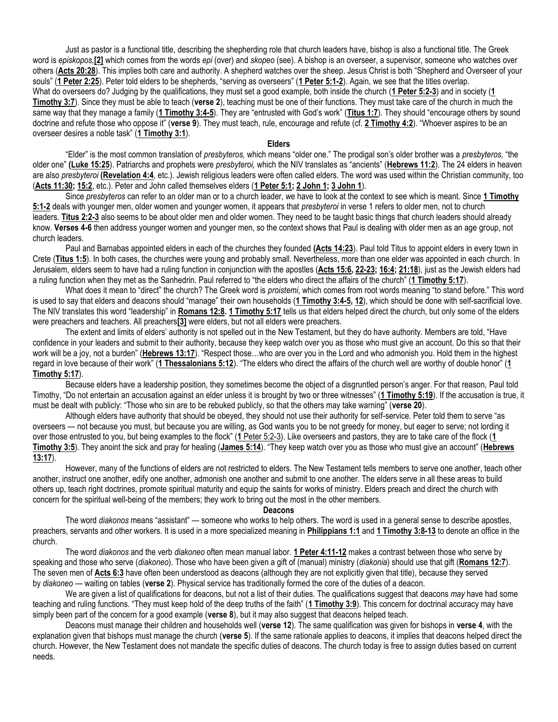Just as pastor is a functional title, describing the shepherding role that church leaders have, bishop is also a functional title. The Greek word is *episkopos,***[\[2\]](https://www.gci.org/articles/leadership-in-the-church-an-examination-of-eight-words/#_ftn2)** which comes from the words *epi* (over) and *skopeo* (see). A bishop is an overseer, a supervisor, someone who watches over others (**[Acts 20:28](https://biblia.com/bible/niv/Acts%2020.28)**). This implies both care and authority. A shepherd watches over the sheep. Jesus Christ is both "Shepherd and Overseer of your souls" (**[1 Peter 2:25](https://biblia.com/bible/niv/1%20Pet%202.25)**). Peter told elders to be shepherds, "serving as overseers" (**[1 Peter 5:1-2](https://biblia.com/bible/niv/1%20Pet%205.1-2)**). Again, we see that the titles overlap. What do overseers do? Judging by the qualifications, they must set a good example, both inside the church (**[1 Peter 5:2-3](https://biblia.com/bible/niv/1%20Pet%205.2-3)**) and in society (**[1](https://biblia.com/bible/niv/1%20Tim%203.7)  [Timothy 3:7](https://biblia.com/bible/niv/1%20Tim%203.7)**). Since they must be able to teach (**verse 2**), teaching must be one of their functions. They must take care of the church in much the same way that they manage a family (**[1 Timothy 3:4-5](https://biblia.com/bible/niv/1%20Tim%203.4-5)**). They are "entrusted with God's work" (**[Titus 1:7](https://biblia.com/bible/niv/Titus%201.7)**). They should "encourage others by sound doctrine and refute those who oppose it" (**verse 9**). They must teach, rule, encourage and refute (cf. **[2 Timothy 4:2](https://biblia.com/bible/niv/2%20Tim%204.2)**). "Whoever aspires to be an overseer desires a noble task" (**[1 Timothy 3:1](https://biblia.com/bible/niv/1%20Tim%203.1)**).

#### **Elders**

"Elder" is the most common translation of *presbyteros,* which means "older one." The prodigal son's older brother was a *presbyteros,* "the older one" **[\(Luke 15:25](https://biblia.com/bible/niv/Luke%2015.25)**). Patriarchs and prophets were *presbyteroi,* which the NIV translates as "ancients" (**[Hebrews 11:2](https://biblia.com/bible/niv/Heb%2011.2)**). The 24 elders in heaven are also *presbyteroi* **[\(Revelation 4:4](https://biblia.com/bible/niv/Rev%204.4)**, etc.). Jewish religious leaders were often called elders. The word was used within the Christian community, too (**[Acts 11:30;](https://biblia.com/bible/niv/Acts%2011.30) [15:2](https://biblia.com/bible/niv/Acts%2015.2)**, etc.). Peter and John called themselves elders (**[1 Peter 5:1;](https://biblia.com/bible/niv/1%20Pet%205.1) [2 John 1;](https://biblia.com/bible/niv/2%20John%201) [3 John 1](https://biblia.com/bible/niv/3%20John%201)**).

Since *presbyteros* can refer to an older man or to a church leader, we have to look at the context to see which is meant. Since **[1 Timothy](https://biblia.com/bible/niv/1%20Tim%205.1-2)  [5:1-2](https://biblia.com/bible/niv/1%20Tim%205.1-2)** deals with younger men, older women and younger women, it appears that *presbyteroi* in verse 1 refers to older men, not to church leaders. **[Titus 2:2-3](https://biblia.com/bible/niv/Titus%202.2-3)** also seems to be about older men and older women. They need to be taught basic things that church leaders should already know. **Verses 4-6** then address younger women and younger men, so the context shows that Paul is dealing with older men as an age group, not church leaders.

Paul and Barnabas appointed elders in each of the churches they founded **[\(Acts 14:23](https://biblia.com/bible/niv/Acts%2014.23)**). Paul told Titus to appoint elders in every town in Crete (**[Titus 1:5](https://biblia.com/bible/niv/Titus%201.5)**). In both cases, the churches were young and probably small. Nevertheless, more than one elder was appointed in each church. In Jerusalem, elders seem to have had a ruling function in conjunction with the apostles (**[Acts 15:6,](https://biblia.com/bible/niv/Acts%2015.6) [22-23;](https://biblia.com/bible/niv/Acts%2015.22-23) [16:4;](https://biblia.com/bible/niv/Acts%2016.4) [21:18](https://biblia.com/bible/niv/Acts%2021.18)**), just as the Jewish elders had a ruling function when they met as the Sanhedrin. Paul referred to "the elders who direct the affairs of the church" (**[1 Timothy 5:17](https://biblia.com/bible/niv/1%20Tim%205.17)**).

What does it mean to "direct" the church? The Greek word is *proistemi,* which comes from root words meaning "to stand before." This word is used to say that elders and deacons should "manage" their own households (**[1 Timothy 3:4-5,](https://biblia.com/bible/niv/1%20Tim%203.4-5) [12](https://biblia.com/bible/niv/1%20Timothy%203.12)**), which should be done with self-sacrificial love. The NIV translates this word "leadership" in **[Romans 12:8.](https://biblia.com/bible/niv/Rom%2012.8) [1 Timothy 5:17](https://biblia.com/bible/niv/1%20Tim%205.17)** tells us that elders helped direct the church, but only some of the elders were preachers and teachers. All preachers**[\[3\]](https://www.gci.org/articles/leadership-in-the-church-an-examination-of-eight-words/#_ftn3)** were elders, but not all elders were preachers.

The extent and limits of elders' authority is not spelled out in the New Testament, but they do have authority. Members are told, "Have confidence in your leaders and submit to their authority, because they keep watch over you as those who must give an account. Do this so that their work will be a joy, not a burden" (**[Hebrews 13:17](https://biblia.com/bible/niv/Heb%2013.17)**). "Respect those…who are over you in the Lord and who admonish you. Hold them in the highest regard in love because of their work" (**[1 Thessalonians 5:12](https://biblia.com/bible/niv/1%20Thess%205.12)**). "The elders who direct the affairs of the church well are worthy of double honor" (**[1](https://biblia.com/bible/niv/1%20Tim%205.17)  [Timothy 5:17](https://biblia.com/bible/niv/1%20Tim%205.17)**).

Because elders have a leadership position, they sometimes become the object of a disgruntled person's anger. For that reason, Paul told Timothy, "Do not entertain an accusation against an elder unless it is brought by two or three witnesses" (**[1 Timothy 5:19](https://biblia.com/bible/niv/1%20Tim%205.19)**). If the accusation is true, it must be dealt with publicly: "Those who sin are to be rebuked publicly, so that the others may take warning" (**verse 20**).

Although elders have authority that should be obeyed, they should not use their authority for self-service. Peter told them to serve "as overseers — not because you must, but because you are willing, as God wants you to be not greedy for money, but eager to serve; not lording it over those entrusted to you, but being examples to the flock" (**1** [Peter 5:2-3\)](https://biblia.com/bible/niv/1%20Pet%205.2-3). Like overseers and pastors, they are to take care of the flock (**[1](https://biblia.com/bible/niv/1%20Tim%203.5)  [Timothy 3:5](https://biblia.com/bible/niv/1%20Tim%203.5)**). They anoint the sick and pray for healing (**[James 5:14](https://biblia.com/bible/niv/James%205.14)**). "They keep watch over you as those who must give an account" (**[Hebrews](https://biblia.com/bible/niv/Heb%2013.17)  [13:17](https://biblia.com/bible/niv/Heb%2013.17)**).

However, many of the functions of elders are not restricted to elders. The New Testament tells members to serve one another, teach other another, instruct one another, edify one another, admonish one another and submit to one another. The elders serve in all these areas to build others up, teach right doctrines, promote spiritual maturity and equip the saints for works of ministry. Elders preach and direct the church with concern for the spiritual well-being of the members; they work to bring out the most in the other members.

## **Deacons**

The word *diakonos* means "assistant" — someone who works to help others. The word is used in a general sense to describe apostles, preachers, servants and other workers. It is used in a more specialized meaning in **[Philippians 1:1](https://biblia.com/bible/niv/Phil%201.1)** and **[1 Timothy 3:8-13](https://biblia.com/bible/niv/1%20Tim%203.8-13)** to denote an office in the church.

The word *diakonos* and the verb *diakoneo* often mean manual labor. **[1 Peter 4:11-12](https://biblia.com/bible/niv/1%20Pet%204.11-12)** makes a contrast between those who serve by speaking and those who serve (*diakoneo*). Those who have been given a gift of (manual) ministry (*diakonia*) should use that gift (**[Romans 12:7](https://biblia.com/bible/niv/Rom%2012.7)**). The seven men of **[Acts 6:3](https://biblia.com/bible/niv/Acts%206.3)** have often been understood as deacons (although they are not explicitly given that title), because they served by *diakoneo* — waiting on tables (**verse 2**). Physical service has traditionally formed the core of the duties of a deacon.

We are given a list of qualifications for deacons, but not a list of their duties. The qualifications suggest that deacons *may* have had some teaching and ruling functions. "They must keep hold of the deep truths of the faith" (**[1 Timothy 3:9](https://biblia.com/bible/niv/1%20Tim%203.9)**). This concern for doctrinal accuracy may have simply been part of the concern for a good example (**verse 8**), but it may also suggest that deacons helped teach.

Deacons must manage their children and households well (**verse 12**). The same qualification was given for bishops in **verse 4**, with the explanation given that bishops must manage the church (**verse 5**). If the same rationale applies to deacons, it implies that deacons helped direct the church. However, the New Testament does not mandate the specific duties of deacons. The church today is free to assign duties based on current needs.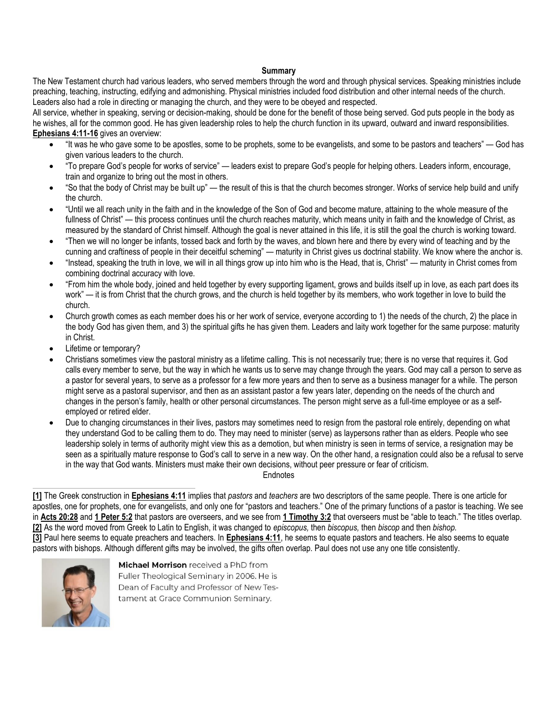## **Summary**

The New Testament church had various leaders, who served members through the word and through physical services. Speaking ministries include preaching, teaching, instructing, edifying and admonishing. Physical ministries included food distribution and other internal needs of the church. Leaders also had a role in directing or managing the church, and they were to be obeyed and respected.

All service, whether in speaking, serving or decision-making, should be done for the benefit of those being served. God puts people in the body as he wishes, all for the common good. He has given leadership roles to help the church function in its upward, outward and inward responsibilities. **[Ephesians 4:11-16](https://biblia.com/bible/niv/Eph%204.11-16)** gives an overview:

- "It was he who gave some to be apostles, some to be prophets, some to be evangelists, and some to be pastors and teachers" God has given various leaders to the church.
- "To prepare God's people for works of service" leaders exist to prepare God's people for helping others. Leaders inform, encourage, train and organize to bring out the most in others.
- "So that the body of Christ may be built up" the result of this is that the church becomes stronger. Works of service help build and unify the church.
- "Until we all reach unity in the faith and in the knowledge of the Son of God and become mature, attaining to the whole measure of the fullness of Christ" — this process continues until the church reaches maturity, which means unity in faith and the knowledge of Christ, as measured by the standard of Christ himself. Although the goal is never attained in this life, it is still the goal the church is working toward.
- "Then we will no longer be infants, tossed back and forth by the waves, and blown here and there by every wind of teaching and by the cunning and craftiness of people in their deceitful scheming" — maturity in Christ gives us doctrinal stability. We know where the anchor is.
- "Instead, speaking the truth in love, we will in all things grow up into him who is the Head, that is, Christ" maturity in Christ comes from combining doctrinal accuracy with love.
- "From him the whole body, joined and held together by every supporting ligament, grows and builds itself up in love, as each part does its work" — it is from Christ that the church grows, and the church is held together by its members, who work together in love to build the church.
- Church growth comes as each member does his or her work of service, everyone according to 1) the needs of the church, 2) the place in the body God has given them, and 3) the spiritual gifts he has given them. Leaders and laity work together for the same purpose: maturity in Christ.
- Lifetime or temporary?
- Christians sometimes view the pastoral ministry as a lifetime calling. This is not necessarily true; there is no verse that requires it. God calls every member to serve, but the way in which he wants us to serve may change through the years. God may call a person to serve as a pastor for several years, to serve as a professor for a few more years and then to serve as a business manager for a while. The person might serve as a pastoral supervisor, and then as an assistant pastor a few years later, depending on the needs of the church and changes in the person's family, health or other personal circumstances. The person might serve as a full-time employee or as a selfemployed or retired elder.
- Due to changing circumstances in their lives, pastors may sometimes need to resign from the pastoral role entirely, depending on what they understand God to be calling them to do. They may need to minister (serve) as laypersons rather than as elders. People who see leadership solely in terms of authority might view this as a demotion, but when ministry is seen in terms of service, a resignation may be seen as a spiritually mature response to God's call to serve in a new way. On the other hand, a resignation could also be a refusal to serve in the way that God wants. Ministers must make their own decisions, without peer pressure or fear of criticism.

**Endnotes** 

**[\[1\]](https://www.gci.org/articles/leadership-in-the-church-an-examination-of-eight-words/#_ftnref1)** The Greek construction in **[Ephesians 4:11](https://biblia.com/bible/niv/Eph%204.11)** implies that *pastors* and *teachers* are two descriptors of the same people. There is one article for apostles, one for prophets, one for evangelists, and only one for "pastors and teachers." One of the primary functions of a pastor is teaching. We see in **[Acts 20:28](https://biblia.com/bible/niv/Acts%2020.28)** and **[1 Peter 5:2](https://biblia.com/bible/niv/1%20Pet%205.2)** that pastors are overseers, and we see from **[1 Timothy 3:2](https://biblia.com/bible/niv/1%20Tim%203.2)** that overseers must be "able to teach." The titles overlap. **[\[2\]](https://www.gci.org/articles/leadership-in-the-church-an-examination-of-eight-words/#_ftnref2)** As the word moved from Greek to Latin to English, it was changed to *episcopus,* then *biscopus,* then *biscop* and then *bishop.* **[\[3\]](https://www.gci.org/articles/leadership-in-the-church-an-examination-of-eight-words/#_ftnref3)** Paul here seems to equate preachers and teachers. In **[Ephesians 4:11](https://biblia.com/bible/niv/Eph%204.11)**, he seems to equate pastors and teachers. He also seems to equate pastors with bishops. Although different gifts may be involved, the gifts often overlap. Paul does not use any one title consistently.



Michael Morrison received a PhD from Fuller Theological Seminary in 2006. He is Dean of Faculty and Professor of New Testament at Grace Communion Seminary.